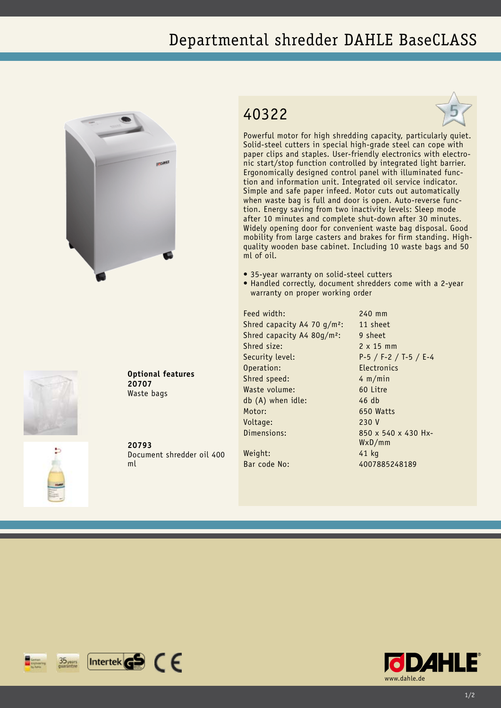## Departmental shredder DAHLE BaseCLASS





**Optional features 20707** Waste bags

Document shredder oil 400

## 40322



Powerful motor for high shredding capacity, particularly quiet. Solid-steel cutters in special high-grade steel can cope with paper clips and staples. User-friendly electronics with electronic start/stop function controlled by integrated light barrier. Ergonomically designed control panel with illuminated function and information unit. Integrated oil service indicator. Simple and safe paper infeed. Motor cuts out automatically when waste bag is full and door is open. Auto-reverse function. Energy saving from two inactivity levels: Sleep mode after 10 minutes and complete shut-down after 30 minutes. Widely opening door for convenient waste bag disposal. Good mobility from large casters and brakes for firm standing. Highquality wooden base cabinet. Including 10 waste bags and 50 ml of oil.

- 35-year warranty on solid-steel cutters
- Handled correctly, document shredders come with a 2-year warranty on proper working order

Feed width: 240 mm Shred capacity A4 70  $q/m^2$ : 11 sheet Shred capacity A4 80g/m<sup>2</sup>: 9 sheet Shred size: 2 x 15 mm Security level: P-5 / F-2 / T-5 / E-4 Operation: Electronics Shred speed: 4 m/min Waste volume: 60 Litre db (A) when idle: 46 db Motor: 650 Watts Voltage: 230 V Dimensions: 850 x 540 x 430 Hx-Weight: 41 kg

WxD/mm Bar code No: 4007885248189



**20793** ml